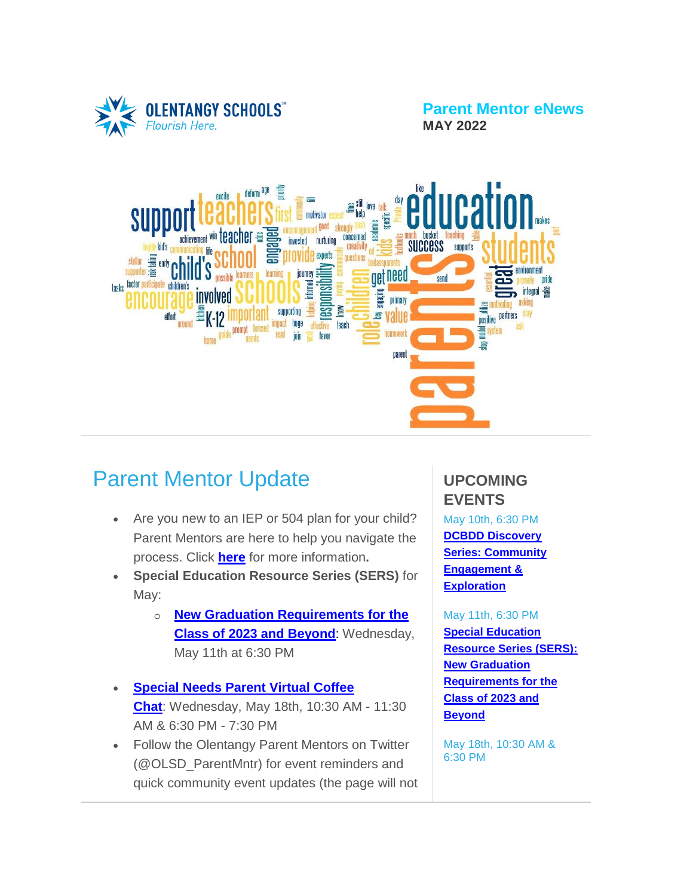

**Parent Mentor eNews MAY 2022**



# Parent Mentor Update

- Are you new to an IEP or 504 plan for your child? Parent Mentors are here to help you navigate the process. Click **[here](https://www.olentangy.k12.oh.us/departments/pupil-services/parent-mentor-program)** for more information**.**
- **Special Education Resource Series (SERS)** for May:
	- o **New Graduation [Requirements](https://target.brightarrow.com/userfiles/3594-1/files/Invitation%20Flyer(4).pdf) for the Class of 2023 and [Beyond](https://target.brightarrow.com/userfiles/3594-1/files/Invitation%20Flyer(4).pdf)**: Wednesday, May 11th at 6:30 PM
- **[Special](https://target.brightarrow.com/userfiles/3594-1/files/Virtual%20Coffee%20Chat%20Invite%20May%202022.pdf) Needs Parent Virtual Coffee [Chat](https://target.brightarrow.com/userfiles/3594-1/files/Virtual%20Coffee%20Chat%20Invite%20May%202022.pdf)**: Wednesday, May 18th, 10:30 AM - 11:30 AM & 6:30 PM - 7:30 PM
- Follow the Olentangy Parent Mentors on Twitter (@OLSD\_ParentMntr) for event reminders and quick community event updates (the page will not

## **UPCOMING EVENTS**

May 10th, 6:30 PM **DCBDD [Discovery](https://us06web.zoom.us/webinar/register/WN_j8CU-MhnTVS5MBDRCiRd-w) Series: [Community](https://us06web.zoom.us/webinar/register/WN_j8CU-MhnTVS5MBDRCiRd-w) [Engagement](https://us06web.zoom.us/webinar/register/WN_j8CU-MhnTVS5MBDRCiRd-w) & [Exploration](https://us06web.zoom.us/webinar/register/WN_j8CU-MhnTVS5MBDRCiRd-w)**

#### May 11th, 6:30 PM

**Special [Education](https://target.brightarrow.com/userfiles/3594-1/files/Invitation%20Flyer(4).pdf) [Resource](https://target.brightarrow.com/userfiles/3594-1/files/Invitation%20Flyer(4).pdf) Series (SERS): New [Graduation](https://target.brightarrow.com/userfiles/3594-1/files/Invitation%20Flyer(4).pdf) [Requirements](https://target.brightarrow.com/userfiles/3594-1/files/Invitation%20Flyer(4).pdf) for the [Class](https://target.brightarrow.com/userfiles/3594-1/files/Invitation%20Flyer(4).pdf) of 2023 and [Beyond](https://target.brightarrow.com/userfiles/3594-1/files/Invitation%20Flyer(4).pdf)**

May 18th, 10:30 AM & 6:30 PM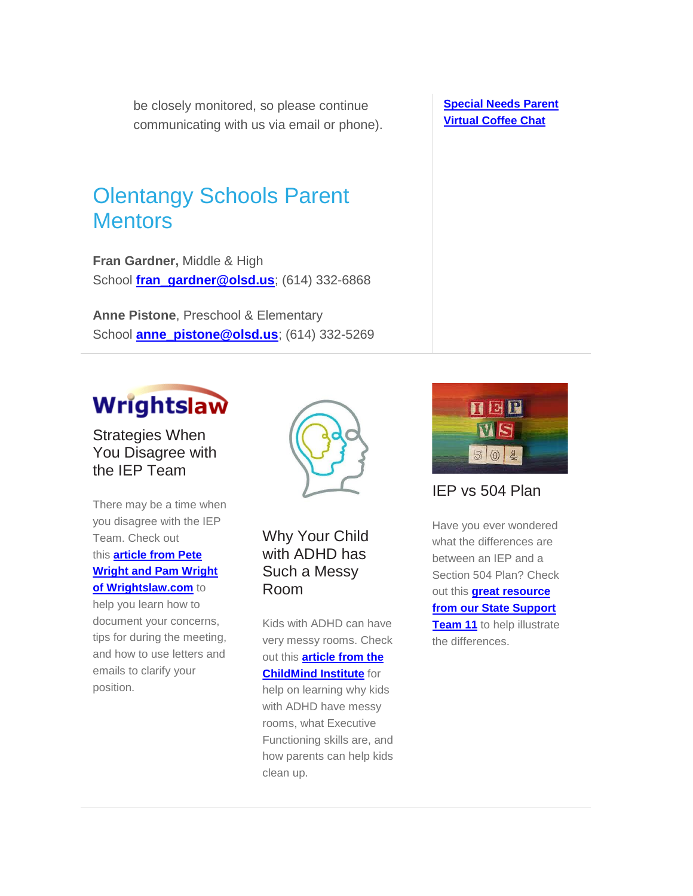be closely monitored, so please continue communicating with us via email or phone).

## Olentangy Schools Parent **Mentors**

**Fran Gardner,** Middle & High School **[fran\\_gardner@olsd.us](mailto:fran_gardner@olsd.us)**; (614) 332-6868

**Anne Pistone**, Preschool & Elementary School **[anne\\_pistone@olsd.us](mailto:anne_pistone@olsd.us)**; (614) 332-5269

# **Wrightslaw**

Strategies When You Disagree with the IEP Team

There may be a time when you disagree with the IEP Team. Check out this **[article](https://www.wrightslaw.com/info/advo.disagree.team.htm) from Pete Wright and Pam [Wright](https://www.wrightslaw.com/info/advo.disagree.team.htm) of [Wrightslaw.com](https://www.wrightslaw.com/info/advo.disagree.team.htm)** to

help you learn how to document your concerns, tips for during the meeting, and how to use letters and emails to clarify your position.



Why Your Child with ADHD has Such a Messy Room

Kids with ADHD can have very messy rooms. Check out this **[article](https://childmind.org/article/why-your-child-with-adhd-has-such-a-messy-room/?utm_medium=email&utm_source=newsletter&utm_campaign=publ_ed_nl_2022-03-15&utm_content=why-your-child-with-adhd-has-such-a-messy-room) from the [ChildMind](https://childmind.org/article/why-your-child-with-adhd-has-such-a-messy-room/?utm_medium=email&utm_source=newsletter&utm_campaign=publ_ed_nl_2022-03-15&utm_content=why-your-child-with-adhd-has-such-a-messy-room) Institute** for help on learning why kids with ADHD have messy rooms, what Executive Functioning skills are, and how parents can help kids clean up.

**[Special](https://target.brightarrow.com/userfiles/3594-1/files/Virtual%20Coffee%20Chat%20Invite%20May%202022.pdf) Needs Parent Virtual [Coffee](https://target.brightarrow.com/userfiles/3594-1/files/Virtual%20Coffee%20Chat%20Invite%20May%202022.pdf) Chat**



IEP vs 504 Plan

Have you ever wondered what the differences are between an IEP and a Section 504 Plan? Check out this **great [resource](https://target.brightarrow.com/userfiles/3594-1/files/504%20vs%20IEP%202.pdf) from our State [Support](https://target.brightarrow.com/userfiles/3594-1/files/504%20vs%20IEP%202.pdf) [Team](https://target.brightarrow.com/userfiles/3594-1/files/504%20vs%20IEP%202.pdf) 11** to help illustrate the differences.